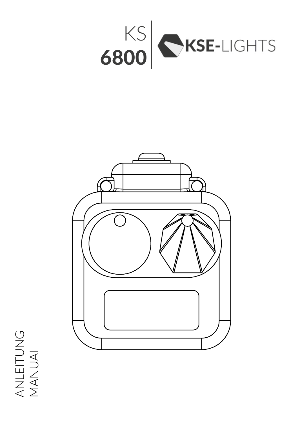



ANLEITUNG<br>MANUAL ANLEITUNG MANUAL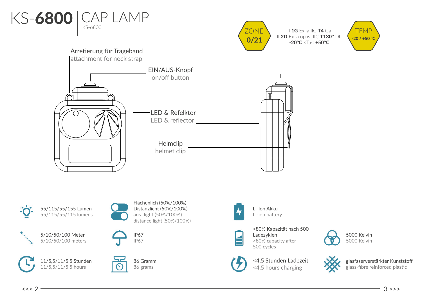



II 1G Ex ia IIC T4 Ga II 2D Ex ia op is IIIC T130° Db -20°C <Ta< +50°C



## entrational control of the control of the control of the control of the control of the control of the control o  $\overrightarrow{AB}$ Helmclip helmet clip LED & Refelktor LED & reflector EIN/AUS-Knopf on/off button Arretierung für Trageband attachment for neck strap





Li-Ion Akku Li-ion battery



>80% Kapazität nach 500 Ladezyklen >80% capacity after 500 cycles



<4,5 Stunden Ladezeit <4,5 hours charging





glasfaserverstärkter Kunststoff glass-fibre reinforced plastic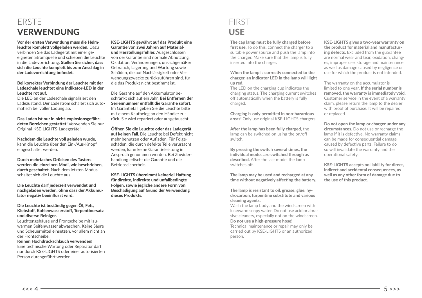## ERSTE VERWENDUNG

Vor der ersten Verwendung muss die Helmleuchte komplett vollgeladen werden. Dazu verbinden Sie das Ladegerät mit einer geeigneten Stromquelle und schieben die Leuchte in die Ladevorrichtung. Stellen Sie sicher, dass sich die Leuchte komplett bis zum Anschlag in der Ladevorrichtung befindet.

#### Bei korrekter Verbindung der Leuchte mit der Ladeschale leuchtet eine Indikator-LED in der Leuchte rot auf.

Die LED an der Ladeschale signalisiert den Ladezustand. Der Ladestrom schaltet sich automatisch bei voller Ladung ab.

Das Laden ist nur in nicht-explosionsgefährdeten Bereichen gestattet! Verwenden Sie nur Original-KSE-LIGHTS-Ladegeräte!

Nachdem die Leuchte voll geladen wurde, kann die Leuchte über den Ein-/Aus-Knopf eingeschaltet werden.

Durch mehrfaches Drücken des Tasters werden die einzelnen Modi, wie beschrieben, durch geschaltet. Nach dem letzten Modus schaltet sich die Leuchte aus.

Die Leuchte darf jederzeit verwendet und nachgeladen werden, ohne dass der Akkumulator negativ beeinflusst wird.

#### Die Leuchte ist beständig gegen ÖI, Fett, Klebstoff, Kohlenwasserstoff, Terpentinersatz und diverse Reiniger.

Leuchtengehäuse und Frontscheibe mit lauwarmen Seifenwasser abwaschen. Keine Säure und Scheuermittel einsetzen, vor allem nicht an der Frontscheibe.

#### Keinen Hochdruckschlauch verwenden!

Eine technische Wartung oder Reparatur darf nur durch KSE-LIGHTS oder einer autorisierten Person durchgeführt werden.

KSE-LIGHTS gewährt auf das Produkt eine Garantie von zwei Jahren auf Materialund Herstellungsfehler. Ausgeschlossen von der Garantie sind normale Abnutzung, Oxidation, Veränderungen, unsachgemäßer Gebrauch, Lagerung und Wartung sowie Schäden, die auf Nachlässigkeit oder Verwendungszwecke zurückzuführen sind, für die das Produkt nicht bestimmt ist.

Die Garantie auf den Akkumulator beschränkt sich auf ein Jahr. Bei Entfernen der Seriennummer entfällt die Garantie sofort. Im Garantiefall geben Sie die Leuchte bitte mit einem Kaufbeleg an den Händler zurück. Sie wird repariert oder ausgetauscht.

Öffnen Sie die Leuchte oder das Ladegerät auf keinen Fall. Die Leuchte bei Defekt nicht mehr benutzen oder Aufladen. Für Folgeschäden, die durch defekte Teile verursacht werden, kann keine Garantieleistung in Anspruch genommen werden. Bei Zuwiderhandlung erlischt die Garantie und die Betriebssicherheit.

KSE-LIGHTS übernimmt keinerlei Haftung für direkte, indirekte und unfallbedingte Folgen, sowie jegliche andere Form von Beschädigung auf Grund der Verwendung dieses Produkts.

## FIRST USE

The cap lamp must be fully charged before first use. To do this, connect the charger to a suitable power source and push the lamp into the charger. Make sure that the lamp is fully inserted into the charger.

#### When the lamp is correctly connected to the charger, an indicator LED in the lamp will light up red.

The LED on the charging cup indicates the charging status. The charging current switches off automatically when the battery is fully charged.

Charging is only permitted in non-hazardous areas! Only use original KSE-LIGHTS chargers!

After the lamp has been fully charged, the lamp can be switched on using the on/off switch.

By pressing the switch several times, the individual modes are switched through as described. After the last mode, the lamp switches off.

The lamp may be used and recharged at any time without negatively affecting the battery.

The lamp is resistant to oil, grease, glue, hydrocarbon, turpentine substitute and various cleaning agents.

Wash the lamp body and the windscreen with lukewarm soapy water. Do not use acid or abrasive cleaners, especially not on the windscreen. Do not use a high-pressure hose!

Technical maintenance or repair may only be carried out by KSE-LIGHTS or an authorized person.

KSE-LIGHTS gives a two-year warranty on the product for material and manufacturing defects. Excluded from the guarantee are normal wear and tear, oxidation, changes, improper use, storage and maintenance as well as damage caused by negligence or use for which the product is not intended.

The warranty on the accumulator is limited to one year. If the serial number is removed, the warranty is immediately void. Customer service in the event of a warranty claim, please return the lamp to the dealer with proof of purchase. It will be repaired or replaced.

Do not open the lamp or charger under any circumstances. Do not use or recharge the lamp if it is defective. No warranty claims can be made for consequential damage caused by defective parts. Failure to do so will invalidate the warranty and the operational safety.

KSE-LIGHTS accepts no liability for direct, indirect and accidental consequences, as well as any other form of damage due to the use of this product.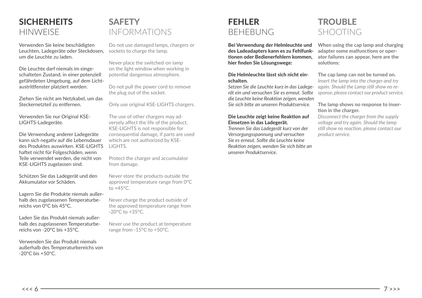## **SICHERHEITS HINWEISE**

Verwenden Sie keine beschädigten Leuchten, Ladegeräte oder Steckdosen, um die Leuchte zu laden.

Die Leuchte darf niemals im eingeschalteten Zustand, in einer potenziell gefährdeten Umgebung, auf dem Lichtaustrittfenster platziert werden.

Ziehen Sie nicht am Netzkabel, um das Steckernetzteil zu entfernen.

Verwenden Sie nur Original KSE-LIGHTS-Ladegeräte.

Die Verwendung anderer Ladegeräte kann sich negativ auf die Lebensdauer des Produktes auswirken. KSE-LIGHTS haftet nicht für Folgeschäden, wenn Teile verwendet werden, die nicht von KSE-LIGHTS zugelassen sind.

Schützen Sie das Ladegerät und den Akkumulator vor Schäden.

Lagern Sie die Produkte niemals außerhalb des zugelassenen Temperaturbereichs von 0°C bis 45°C.

Laden Sie das Produkt niemals außerhalb des zugelassenen Temperaturbereichs von -20°C bis +35°C.

Verwenden Sie das Produkt niemals außerhalb des Temperaturbereichs von -20°C bis +50°C.

## **SAFFTY** INFORMATIONS

Do not use damaged lamps, chargers or sockets to charge the lamp.

Never place the switched-on lamp on the light window when working in potential dangerous atmosphere.

Do not pull the power cord to remove the plug out of the socket.

Only use original KSE-LIGHTS chargers.

The use of other chargers may adversely affect the life of the product. KSE-LIGHTS is not responsible for consequential damage, if parts are used which are not authorized by KSE-LIGHTS.

Protect the charger and accumulator from damage.

Never store the products outside the approved temperature range from 0°C to  $+45^{\circ}$ C.

Never charge the product outside of the approved temperature range from -20°C to +35°C.

Never use the product at temperature range from -15°C to +50°C.

## FEHLER **BEHEBUNG**

Bei Verwendung der Helmleuchte und des Ladeadapters kann es zu Fehlfunktionen oder Bedienerfehlern kommen, hier finden Sie Lösungswege:

#### Die Helmleuchte lässt sich nicht einschalten.

*Setzen Sie die Leuchte kurz in das Ladegerät ein und versuchen Sie es erneut. Sollte die Leuchte keine Reaktion zeigen, wenden Sie sich bitte an unseren Produktservice.*

#### Die Leuchte zeigt keine Reaktion auf Einsetzen in das Ladegerät.

*Trennen Sie das Ladegerät kurz von der Versorgungsspannung und versuchen Sie es erneut. Sollte die Leuchte keine Reaktion zeigen, wenden Sie sich bitte an unseren Produktservice.*

## **TROUBLE** SHOOTING

When using the cap lamp and charging adapter some malfunctions or operator failures can appear, here are the solutions:

The cap lamp can not be turned on. *Insert the lamp into the charger and try again. Should the Lamp still show no response, please contact our product service.*

### The lamp shows no response to insertion in the charger.

*Disconnect the charger from the supply voltage and try again. Should the lamp still show no reaction, please contact our product service.*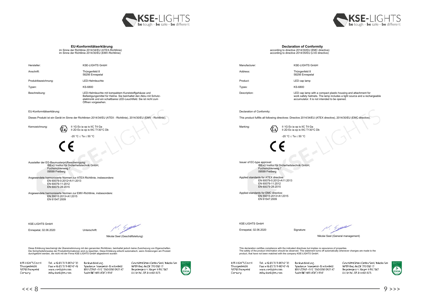



**EU-Konformitätserklärung** im Sinne der Richtlinie 2014/34/EU (ATEX-Richtlinie) im Sinne der Richtlinie 2014/30/EU (EMV-Richtlinie)

| <b>Declaration of Conformity</b>                  |  |  |  |  |
|---------------------------------------------------|--|--|--|--|
| according to directive 2014/30/EU (EMC directive) |  |  |  |  |
| according to directive 2014/35/EU (LVD directive) |  |  |  |  |

| Hersteller:                                                                                                                                                                                                                                                                                                                                                                                   | <b>KSE-LIGHTS GmbH</b>                                                                                                                                                                                             | Manufacturer.                                                                                                                                                                                                                                                                                                             | <b>KSE-LIGHTS GmbH</b>                                                                                                                                                                      |
|-----------------------------------------------------------------------------------------------------------------------------------------------------------------------------------------------------------------------------------------------------------------------------------------------------------------------------------------------------------------------------------------------|--------------------------------------------------------------------------------------------------------------------------------------------------------------------------------------------------------------------|---------------------------------------------------------------------------------------------------------------------------------------------------------------------------------------------------------------------------------------------------------------------------------------------------------------------------|---------------------------------------------------------------------------------------------------------------------------------------------------------------------------------------------|
| Anschrift:                                                                                                                                                                                                                                                                                                                                                                                    | Thüngenfeld 8<br>58256 Ennepetal                                                                                                                                                                                   | Address:                                                                                                                                                                                                                                                                                                                  | Thüngenfeld 8<br>58256 Ennepetal                                                                                                                                                            |
| Produktbezeichnung:                                                                                                                                                                                                                                                                                                                                                                           | LED-Helmleuchte                                                                                                                                                                                                    | Product:                                                                                                                                                                                                                                                                                                                  | LED cap lamp                                                                                                                                                                                |
| Typen:                                                                                                                                                                                                                                                                                                                                                                                        | KS-6800                                                                                                                                                                                                            | Types:                                                                                                                                                                                                                                                                                                                    | KS-6800                                                                                                                                                                                     |
| Beschreibung:                                                                                                                                                                                                                                                                                                                                                                                 | LED-Helmleuchte mit kompaktem Kunststoffgehäuse und<br>Befestigungsmittel für Helme. Sie beinhaltet den Akku mit Schutz-<br>elektronik und ein schaltbares LED-Leuchtfeld. Sie ist nicht zum<br>Öffnen vorgesehen. | Description:                                                                                                                                                                                                                                                                                                              | LED cap lamp with a compact plastic housing and attachment for<br>work safety helmets. The lamp includes a light source and a rechargeable<br>accumulator. It is not intended to be opened. |
| EU-Konformitätserklärung:                                                                                                                                                                                                                                                                                                                                                                     |                                                                                                                                                                                                                    | Declaration of Conformity:                                                                                                                                                                                                                                                                                                |                                                                                                                                                                                             |
| Dieses Produkt ist ein Gerät im Sinne der Richtlinien 2014/34/EU (ATEX - Richtlinie), 2014/30/EU (EMV - Richtlinie).                                                                                                                                                                                                                                                                          |                                                                                                                                                                                                                    | This product fulfills all following directives: Directive 2014/34/EU (ATEX directive), 2014/30/EU (EMC directive)                                                                                                                                                                                                         |                                                                                                                                                                                             |
| Kennzeichnung:<br>Œx                                                                                                                                                                                                                                                                                                                                                                          | II 1G Ex ia op is IIC T4 Ga<br>Il 2D Ex ia op is IIIC T130°C Db<br>-20 °C $\le$ Ta $\le$ 50 °C                                                                                                                     | Marking:                                                                                                                                                                                                                                                                                                                  | II 1G Ex ia op is IIC T4 Ga<br>Il 2D Ex ia op is IIIC T130°C Db<br>-20 °C $\le$ Ta $\le$ 50 °C                                                                                              |
| Aussteller der EG-Baumusterprüfbescheinigung:<br>IBExU Institut für Sicherheitstechnik GmbH.<br>Fuchsmühlenweg 7<br>09599 Freiberg<br>Angewendete harmonisierte Normen zur ATEX-Richtlinie, insbesondere:<br>EN 60079-0:2012+A11:2013<br>EN 60079-11:2012<br>EN 60079-28:2015<br>Angewendete harmonisierte Normen zur EMV-Richtlinie, insbesondere:<br>EN 55015:2013+A1:2015<br>EN 61547:2009 |                                                                                                                                                                                                                    | Issuer of EC-type approval:<br>IBExU Institut für Sicherheitstechnik GmbH.<br>Fuchsmühlenweg 7<br>09599 Freiberg<br>Applied standards for ATEX directive:<br>EN 60079-0:2012+A11:2013<br>EN 60079-11:2012<br>EN 60079-28:2015<br>Applied standards for EMC directive:<br>EN 55015:2013+A1:2015<br>EN 61547:2009           |                                                                                                                                                                                             |
| <b>KSE-LIGHTS GmbH</b><br>Ennepetal, 02.06.2020                                                                                                                                                                                                                                                                                                                                               | 4.4<br>Unterschrift<br>Nikolai Seel (Geschäftsleitung)                                                                                                                                                             | <b>KSE-LIGHTS GmbH</b><br>Ennepetal, 02.06.2020                                                                                                                                                                                                                                                                           | 4.6 <sub>1</sub><br>Signature<br>Nikolai Seel (General management)                                                                                                                          |
| Diese Erklärung bescheinigt die Übereinstimmung mit den genannten Richtlinien, beinhaltet jedoch keine Zusicherung von Eigenschaften.<br>Die Sicherheitshinweise der Produktinformationen sind zu beachten. Diese Erklärung erlischt automatisch, wenn Änderungen am Produkt<br>durchgeführt werden, die nicht mit der Firma KSE-LIGHTS GmbH abgestimmt wurden                                |                                                                                                                                                                                                                    | This declaration certifies compliance with the indicated directives but implies no assurance of properties.<br>The safety of the product information should be observed. This statement turns off automatically whenever changes are made to the<br>product, that have not been matched with the company KSE-LIGHTS GmbH. |                                                                                                                                                                                             |
| GHTS GmaH<br>Tel. +49 (012333-98242.30)                                                                                                                                                                                                                                                                                                                                                       | Geschäftsführen Detley Seel / Nikolai See<br>Bankverbindung.                                                                                                                                                       | KSE-HGHTS GmbH<br>Tel. +49 (012333-98242.30)                                                                                                                                                                                                                                                                              | Bankverbindung.<br>Geschäftsführen Detley Seel / Nikolar                                                                                                                                    |

KSF-HGHTS GmdH Thungenteld 8 S8256 Ennepetal Germany

Fax: +49 (017333-98747 49) www.cselights.com<br>infoekselights.com Swift/BIC: WELADED1ENE

Geschäftsführer: Detlev Seel / Nikolai See<br>WEEF-Reg.-Nr.DE 270 \$90 52<br>Registergerich: Hagen HPB 2367<br>List-Id Nr., DE 814 691 023 Bankverbindung.<br>Sparkasse Ennepetal – Breckerfeld<br>IBAN.DE62 4545 1060 0000 0927 67



Bankverbindung.<br>Sparkasse Ennepetal – Breckerfeld<br>IBAN.DE62 4545 1060 0000 0927 67 Fax: +49 (0) 7333-98747 49 www.coelights.com<br>infoekse-lights.com Serift/BIC: WELADED1ENE

Thingenteld &<br>S8256 Ennepetal<br>Germany

Geschäftsführer: Detlev Seel / Nikolai See WEEF-Reg.-Nr.DE 270 S90 52<br>Registergerich: Hagen HRB 2367<br>List-Id Nr., DE 814 691 023

DEKRA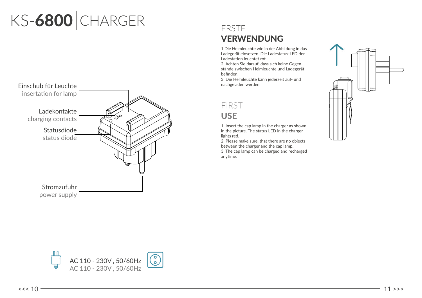# KS-6800 CHARGER



## ERSTE VERWENDUNG

1.Die Helmleuchte wie in der Abbildung in das Ladegerät einsetzen. Die Ladestatus-LED der Ladestation leuchtet rot.

2. Achten Sie darauf, dass sich keine Gegenstände zwischen Helmleuchte und Ladegerät befinden.

nachgeladen werden.

## FIRST USE

1. Insert the cap lamp in the charger as shown in the picture. The status LED in the charger lights red.

2. Please make sure, that there are no objects between the charger and the cap lamp.

3. The cap lamp can be charged and recharged  $\blacksquare$ anytime.